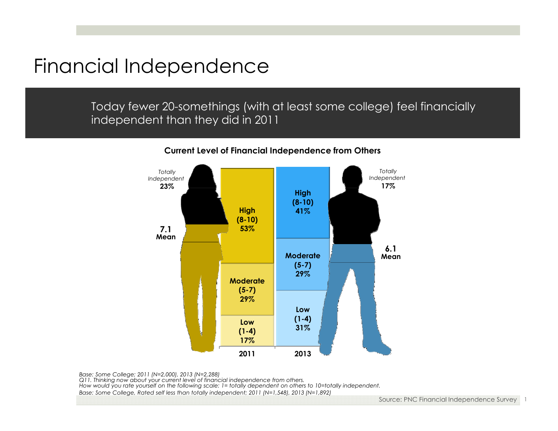## Financial Independence

Today fewer 20-somethings (with at least some college) feel financially independent than they did in 2011



#### **Current Level of Financial Independence from Others**

*Base: Some College; 2011 (N=2,000), 2013 (N=2,288)*

*Q11. Thinking now about your current level of financial independence from others.* 

*How would you rate yourself on the following scale: 1= totally dependent on others to 10=totally independent.*

*Base: Some College, Rated self less than totally independent; 2011 (N=1,548), 2013 (N=1,892)*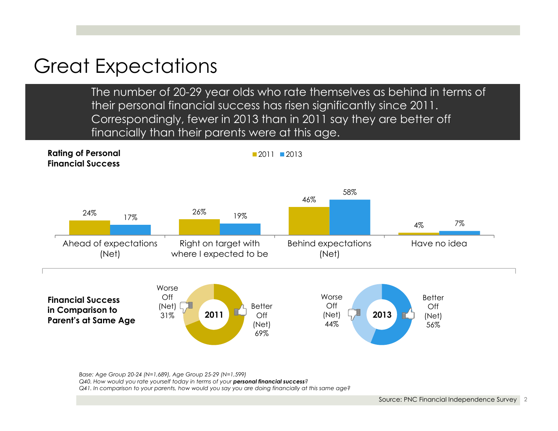## Great Expectations

The number of 20-29 year olds who rate themselves as behind in terms of their personal financial success has risen significantly since 2011. Correspondingly, fewer in 2013 than in 2011 say they are better off financially than their parents were at this age .



*Base: Age Group 20-24 (N=1,689), Age Group 25-29 (N=1,599) Q40. How would you rate yourself today in terms of your personal financial success? Q41. In comparison to your parents, how would you say you are doing financially at this same age?*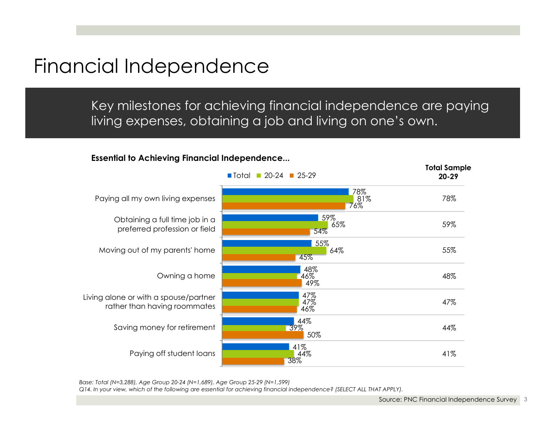## Financial Independence

Key milestones for achieving financial independence are paying living expenses, obtaining a job and living on one's own.

#### **Essential to Achieving Financial Independence...**



*Base: Total (N=3,288), Age Group 20-24 (N=1,689), Age Group 25-29 (N=1,599)*

*Q14. In your view, which of the following are essential for achieving financial independence? (SELECT ALL THAT APPLY).*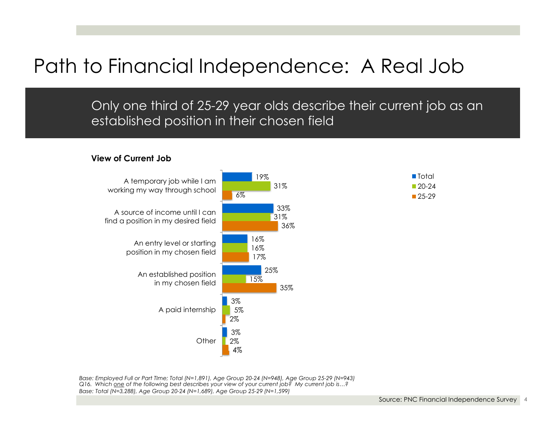# Path to Financial Independence: A Real Job

Only one third of 25-29 year olds describe their current job as an established position in their chosen field

#### **View of Current Job**



*Base: Employed Full or Part TIme; Total (N=1,891), Age Group 20-24 (N=948), Age Group 25-29 (N=943) Q16. Which one of the following best describes your view of your current job? My current job is…? Base: Total (N=3,288), Age Group 20-24 (N=1,689), Age Group 25-29 (N=1,599)*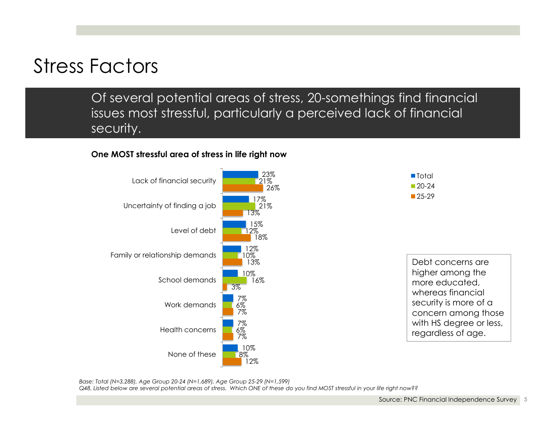# Stress Factors

Of several potential areas of stress, 20-somethings find financial issues most stressful, particularly a perceived lack of financial security.

#### **One MOST stressful area of stress in life right now**



*Base: Total (N=3,288), Age Group 20-24 (N=1,689), Age Group 25-29 (N=1,599) Q48. Listed below are several potential areas of stress. Which ONE of these do you find MOST stressful in your life right now??*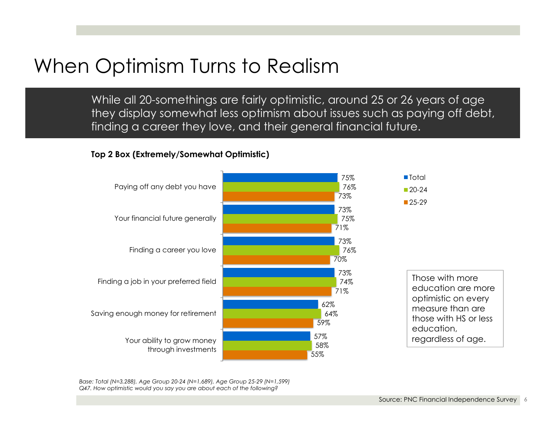# When Optimism Turns to Realism

While all 20-somethings are fairly optimistic, around 25 or 26 years of age they display somewhat less optimism about issues such as paying off debt, finding a career they love, and their general financial future.

#### **Top 2 Box (Extremely/Somewhat Optimistic)**



*Base: Total (N=3,288), Age Group 20-24 (N=1,689), Age Group 25-29 (N=1,599) Q47. How optimistic would you say you are about each of the following?*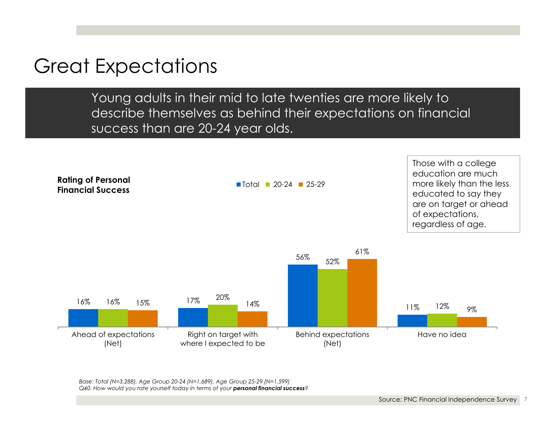## Great Expectations

Young adults in their mid to late twenties are more likely to describe themselves as behind their expectations on financial success than are 20-24 year olds.



*Base: Total (N=3,288), Age Group 20-24 (N=1,689), Age Group 25-29 (N=1,599) Q40. How would you rate yourself today in terms of your personal financial success?*